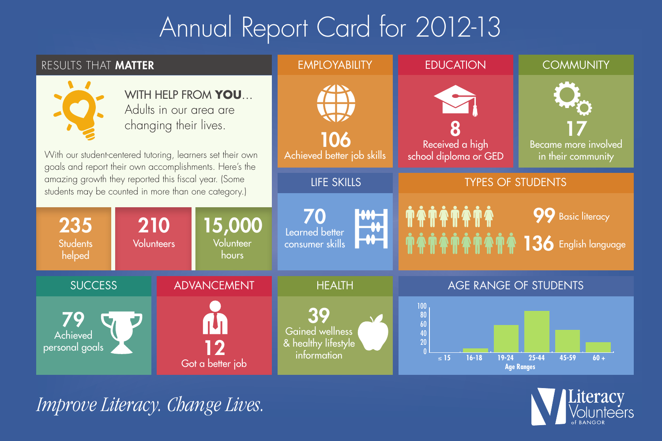# Annual Report Card for 2012-13

| RESULTS THAT MATTER                                                                                         |                                                                                                                                                                                               |                              | <b>EMPLOYABILITY</b>                                               | <b>EDUCATION</b>                                                                                         | <b>COMMUNITY</b>                                 |
|-------------------------------------------------------------------------------------------------------------|-----------------------------------------------------------------------------------------------------------------------------------------------------------------------------------------------|------------------------------|--------------------------------------------------------------------|----------------------------------------------------------------------------------------------------------|--------------------------------------------------|
|                                                                                                             | WITH HELP FROM YOU<br>Adults in our area are<br>changing their lives.<br>With our student-centered tutoring, learners set their own<br>goals and report their own accomplishments. Here's the |                              | 106<br>Achieved better job skills                                  | Received a high<br>school diploma or GED                                                                 | Became more involved<br>in their community       |
| amazing growth they reported this fiscal year. (Some<br>students may be counted in more than one category.) |                                                                                                                                                                                               |                              | <b>LIFE SKILLS</b>                                                 | <b>TYPES OF STUDENTS</b>                                                                                 |                                                  |
| 235<br><b>Students</b><br>helped                                                                            | 210<br><b>Volunteers</b>                                                                                                                                                                      | 15,000<br>Volunteer<br>hours | <b>WH</b><br>70<br><b>AY</b><br>Learned better<br>consumer skills  | <b>**********</b>                                                                                        | <b>99</b> Basic literacy<br>136 English language |
| <b>SUCCESS</b>                                                                                              |                                                                                                                                                                                               | <b>ADVANCEMENT</b>           | <b>HEALTH</b>                                                      | AGE RANGE OF STUDENTS                                                                                    |                                                  |
| Achieved<br>personal goals                                                                                  |                                                                                                                                                                                               | Got a better job             | 39<br><b>Gained wellness</b><br>& healthy lifestyle<br>information | $\frac{100}{80}$<br>$\begin{array}{c} 60 \\ 40 \\ 20 \end{array}$<br>$16 - 18$<br>$\leq 15$<br>$19 - 24$ | 25-44<br>45-59<br>$60 +$<br><b>Age Ranges</b>    |

*Improve Literacy. Change Lives.*